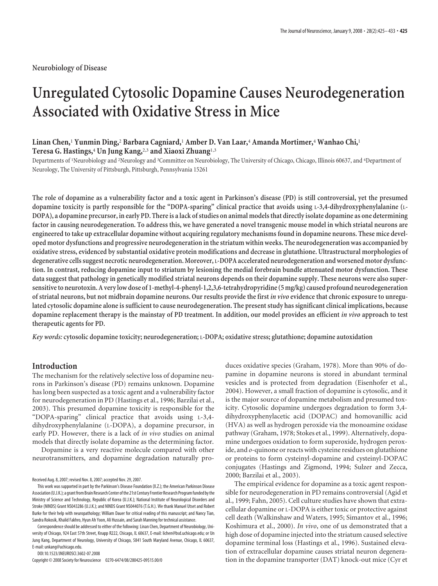# **Unregulated Cytosolic Dopamine Causes Neurodegeneration Associated with Oxidative Stress in Mice**

# **Linan Chen,**<sup>1</sup> **Yunmin Ding,**<sup>2</sup> **Barbara Cagniard,**<sup>1</sup> **Amber D. Van Laar,**<sup>4</sup> **Amanda Mortimer,**<sup>4</sup> **Wanhao Chi,**<sup>1</sup> **Teresa G. Hastings,**<sup>4</sup> **Un Jung Kang,**2,3 **and Xiaoxi Zhuang**1,3

Departments of <sup>1</sup> Neurobiology and <sup>2</sup> Neurology and <sup>3</sup> Committee on Neurobiology, The University of Chicago, Chicago, Illinois 60637, and <sup>4</sup> Department of Neurology, The University of Pittsburgh, Pittsburgh, Pennsylvania 15261

**The role of dopamine as a vulnerability factor and a toxic agent in Parkinson's disease (PD) is still controversial, yet the presumed dopamine toxicity is partly responsible for the "DOPA-sparing" clinical practice that avoids using L-3,4-dihydroxyphenylalanine (L-DOPA), a dopamine precursor, in early PD. There is a lack of studies on animal models that directly isolate dopamine as one determining factor in causing neurodegeneration. To address this, we have generated a novel transgenic mouse model in which striatal neurons are engineered to take up extracellular dopamine without acquiring regulatory mechanisms found in dopamine neurons. These mice developed motor dysfunctions and progressive neurodegeneration in the striatum within weeks. The neurodegeneration was accompanied by oxidative stress, evidenced by substantial oxidative protein modifications and decrease in glutathione. Ultrastructural morphologies of degenerative cells suggest necrotic neurodegeneration. Moreover, L-DOPA accelerated neurodegeneration and worsened motor dysfunction. In contrast, reducing dopamine input to striatum by lesioning the medial forebrain bundle attenuated motor dysfunction. These data suggest that pathology in genetically modified striatal neurons depends on their dopamine supply. These neurons were also supersensitiveto neurotoxin. A very low dose of 1-methyl-4-phenyl-1,2,3,6-tetrahydropyridine (5 mg/kg) caused profound neurodegeneration** of striatal neurons, but not midbrain dopamine neurons. Our results provide the first *in vivo* evidence that chronic exposure to unregu**lated cytosolic dopamine alone is sufficient to cause neurodegeneration. The present study has significant clinical implications, because dopamine replacement therapy is the mainstay of PD treatment. In addition, our model provides an efficient** *in vivo* **approach to test therapeutic agents for PD.**

*Key words:***cytosolic dopamine toxicity; neurodegeneration; L-DOPA; oxidative stress; glutathione; dopamine autoxidation**

# **Introduction**

The mechanism for the relatively selective loss of dopamine neurons in Parkinson's disease (PD) remains unknown. Dopamine has long been suspected as a toxic agent and a vulnerability factor for neurodegeneration in PD (Hastings et al., 1996; Barzilai et al., 2003). This presumed dopamine toxicity is responsible for the "DOPA-sparing" clinical practice that avoids using L-3,4 dihydroxyphenylalanine (L-DOPA), a dopamine precursor, in early PD. However, there is a lack of *in vivo* studies on animal models that directly isolate dopamine as the determining factor.

Dopamine is a very reactive molecule compared with other neurotransmitters, and dopamine degradation naturally pro-

Received Aug. 8, 2007; revised Nov. 8, 2007; accepted Nov. 29, 2007.

This work was supported in part by the Parkinson's Disease Foundation (X.Z.); the American Parkinson Disease Association(U.J.K.); a grantfrom Brain Research Center ofthe 21st Century Frontier Research Programfunded bythe Ministry of Science and Technology, Republic of Korea (U.J.K.); National Institute of Neurological Disorders and Stroke (NINDS) Grant NS043286 (U.J.K.); and NINDS Grant NS044076 (T.G.H.). We thank Manuel Utset and Robert Burke for their help with neuropathology; William Dauer for critical reading of this manuscript; and Nancy Tian, Sandra Rokosik, Khalid Fakhro, Hyun Ah Yoon, Ali Hussain, and Sarah Manning for technical assistance.

Correspondence should be addressed to either of the following: Linan Chen, Department of Neurobiology, University of Chicago, 924 East 57th Street, Knapp R222, Chicago, IL 60637, E-mail: lichen@bsd.uchicago.edu; or Un Jung Kang, Department of Neurology, University of Chicago, 5841 South Maryland Avenue, Chicago, IL 60637, E-mail: unkang@uchicago.edu.

DOI:10.1523/JNEUROSCI.3602-07.2008

Copyright © 2008 Society for Neuroscience 0270-6474/08/280425-09\$15.00/0

duces oxidative species (Graham, 1978). More than 90% of dopamine in dopamine neurons is stored in abundant terminal vesicles and is protected from degradation (Eisenhofer et al., 2004). However, a small fraction of dopamine is cytosolic, and it is the major source of dopamine metabolism and presumed toxicity. Cytosolic dopamine undergoes degradation to form 3,4 dihydroxyphenylacetic acid (DOPAC) and homovanillic acid (HVA) as well as hydrogen peroxide via the monoamine oxidase pathway (Graham, 1978; Stokes et al., 1999). Alternatively, dopamine undergoes oxidation to form superoxide, hydrogen peroxide, and *o*-quinone or reacts with cysteine residues on glutathione or proteins to form cysteinyl-dopamine and cysteinyl-DOPAC conjugates (Hastings and Zigmond, 1994; Sulzer and Zecca, 2000; Barzilai et al., 2003).

The empirical evidence for dopamine as a toxic agent responsible for neurodegeneration in PD remains controversial (Agid et al., 1999; Fahn, 2005). Cell culture studies have shown that extracellular dopamine or L-DOPA is either toxic or protective against cell death (Walkinshaw and Waters, 1995; Simantov et al., 1996; Koshimura et al., 2000). *In vivo*, one of us demonstrated that a high dose of dopamine injected into the striatum caused selective dopamine terminal loss (Hastings et al., 1996). Sustained elevation of extracellular dopamine causes striatal neuron degeneration in the dopamine transporter (DAT) knock-out mice (Cyr et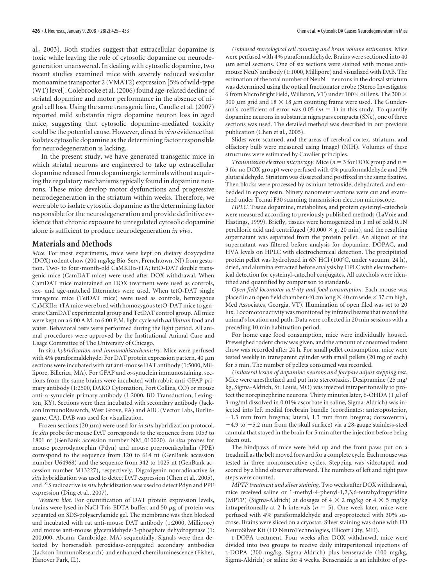al., 2003). Both studies suggest that extracellular dopamine is toxic while leaving the role of cytosolic dopamine on neurodegeneration unanswered. In dealing with cytosolic dopamine, two recent studies examined mice with severely reduced vesicular monoamine transporter 2 (VMAT2) expression [5% of wild-type (WT) level]. Colebrooke et al. (2006) found age-related decline of striatal dopamine and motor performance in the absence of nigral cell loss. Using the same transgenic line, Caudle et al. (2007) reported mild substantia nigra dopamine neuron loss in aged mice, suggesting that cytosolic dopamine-mediated toxicity could be the potential cause. However, direct*in vivo* evidence that isolates cytosolic dopamine as the determining factor responsible for neurodegeneration is lacking.

In the present study, we have generated transgenic mice in which striatal neurons are engineered to take up extracellular dopamine released from dopaminergic terminals without acquiring the regulatory mechanisms typically found in dopamine neurons. These mice develop motor dysfunctions and progressive neurodegeneration in the striatum within weeks. Therefore, we were able to isolate cytosolic dopamine as the determining factor responsible for the neurodegeneration and provide definitive evidence that chronic exposure to unregulated cytosolic dopamine alone is sufficient to produce neurodegeneration *in vivo*.

## **Materials and Methods**

*Mice.* For most experiments, mice were kept on dietary doxycycline (DOX) rodent chow (200 mg/kg; Bio-Serv, Frenchtown, NJ) from gestation. Two- to four-month-old CaMKII $\alpha$ -tTA; tetO-DAT double transgenic mice (CamDAT mice) were used after DOX withdrawal. When CamDAT mice maintained on DOX treatment were used as controls, sex- and age-matched littermates were used. When tetO-DAT single transgenic mice (TetDAT mice) were used as controls, hemizygous  $CaMKII\alpha$ -tTA mice were bred with homozygous tetO-DAT mice to generate CamDAT experimental group and TetDAT control group. All mice were kept on a 6:00 A.M. to 6:00 P.M. light cycle with *ad libitum* food and water. Behavioral tests were performed during the light period. All animal procedures were approved by the Institutional Animal Care and Usage Committee of The University of Chicago.

In situ *hybridization and immunohistochemistry.* Mice were perfused with 4% paraformaldehyde. For DAT protein expression pattern, 40  $\mu$ m sections were incubated with rat anti-mouse DAT antibody (1:5000, Millipore, Billerica, MA). For GFAP and  $\alpha$ -synuclein immunostaining, sections from the same brains were incubated with rabbit anti-GFAP primary antibody (1:2500, DAKO Cytomation, Fort Collins, CO) or mouse anti- $\alpha$ -synuclein primary antibody (1:2000, BD Transduction, Lexington, KY). Sections were then incubated with secondary antibody (Jackson ImmunoResearch, West Grove, PA) and ABC (Vector Labs, Burlingame, CA). DAB was used for visualization.

Frozen sections  $(20 \mu m)$  were used for *in situ* hybridization protocol. *In situ* probe for mouse DAT corresponds to the sequence from 1053 to 1801 nt (GenBank accession number NM\_010020). *In situ* probes for mouse preprodynorphin (Pdyn) and mouse preproenkephalin (PPE) correspond to the sequence from 120 to 614 nt (GenBank accession number U64968) and the sequence from 342 to 1025 nt (GenBank accession number M13227), respectively. Digoxigenin nonradioactive *in situ* hybridization was used to detect DAT expression (Chen et al., 2005), and 35S radioactive *in situ* hybridization was used to detect Pdyn and PPE expression (Ding et al., 2007).

*Western blot.* For quantification of DAT protein expression levels, brains were lysed in NaCl-Tris-EDTA buffer, and 50  $\mu$ g of protein was separated on SDS-polyacrylamide gel. The membrane was then blocked and incubated with rat anti-mouse DAT antibody (1:2000, Millipore) and mouse anti-mouse glyceraldehyde-3-phosphate dehydrogenase (1: 200,000, Abcam, Cambridge, MA) sequentially. Signals were then detected by horseradish peroxidase-conjugated secondary antibodies (Jackson ImmunoResearch) and enhanced chemiluminescence (Fisher, Hanover Park, IL).

*Unbiased stereological cell counting and brain volume estimation.* Mice were perfused with 4% paraformaldehyde. Brains were sectioned into 40  $\mu$ m serial sections. One of six sections were stained with mouse antimouse NeuN antibody (1:1000, Millipore) and visualized with DAB. The estimation of the total number of  $\mathrm{NeuN}^+$  neurons in the dorsal striatum was determined using the optical fractionator probe (Stereo Investigator 6 from MicroBrightField, Williston, VT) under 100 $\times$  oil lens. The 300  $\times$ 300  $\mu$ m grid and 18  $\times$  18  $\mu$ m counting frame were used. The Gundersun's coefficient of error was 0.05 ( $m = 1$ ) in this study. To quantify dopamine neurons in substantia nigra pars compacta (SNc), one of three sections was used. The detailed method was described in our previous publication (Chen et al., 2005).

Slides were scanned, and the areas of cerebral cortex, striatum, and olfactory bulb were measured using ImageJ (NIH). Volumes of these structures were estimated by Cavalier principles.

*Transmission electron microscopy.* Mice ( $n = 3$  for DOX group and  $n =$ 3 for no DOX group) were perfused with 4% paraformaldehyde and 2% glutaraldehyde. Striatum was dissected and postfixed in the same fixative. Then blocks were processed by osmium tetroxide, dehydrated, and embedded in epoxy resin. Ninety nanometer sections were cut and examined under Tecnai F30 scanning transmission electron microscope.

*HPLC.* Tissue dopamine, metabolites, and protein cysteinyl-catechols were measured according to previously published methods (LaVoie and Hastings, 1999). Briefly, tissues were homogenized in 1 ml of cold 0.1N perchloric acid and centrifuged (30,000  $\times$  *g*, 20 min), and the resulting supernatant was separated from the protein pellet. An aliquot of the supernatant was filtered before analysis for dopamine, DOPAC, and HVA levels on HPLC with electrochemical detection. The precipitated protein pellet was hydrolyzed in 6N HCl (100°C, under vacuum, 24 h), dried, and alumina extracted before analysis by HPLC with electrochemical detection for cysteinyl-catechol conjugates. All catechols were identified and quantified by comparison to standards.

*Open field locomotor activity and food consumption.* Each mouse was placed in an open field chamber (40 cm long  $\times$  40 cm wide  $\times$  37 cm high, Med Associates, Georgia, VT). Illumination of open filed was set to 20 lux. Locomotor activity was monitored by infrared beams that record the animal's location and path. Data were collected in 20 min sessions with a preceding 10 min habituation period.

For home cage food consumption, mice were individually housed. Preweighed rodent chow was given, and the amount of consumed rodent chow was recorded after 24 h. For small pellet consumption, mice were tested weekly in transparent cylinder with small pellets (20 mg of each) for 5 min. The number of pellets consumed was recorded.

*Unilateral lesion of dopamine neurons and forepaw adjust stepping test.* Mice were anesthetized and put into stereotaxics. Desipramine (25 mg/ kg, Sigma-Aldrich, St. Louis, MO) was injected intraperitoneally to protect the norepinephrine neurons. Thirty minutes later, 6-OHDA (1  $\mu$ l of 3 mg/ml dissolved in 0.01% ascorbate in saline, Sigma-Aldrich) was injected into left medial forebrain bundle (coordinates: anteroposterior, 1.3 mm from bregma; lateral, 1.3 mm from bregma; dorsoventral,  $-4.9$  to  $-5.2$  mm from the skull surface) via a 28-gauge stainless-steel cannula that stayed in the brain for 5 min after the injection before being taken out.

The hindpaws of mice were held up and the front paws put on a treadmill as the belt moved forward for a complete cycle. Each mouse was tested in three nonconsecutive cycles. Stepping was videotaped and scored by a blind observer afterward. The numbers of left and right paw steps were counted.

*MPTP treatment and silver staining.* Two weeks after DOX withdrawal, mice received saline or 1-methyl-4-phenyl-1,2,3,6-tetrahydropyridine (MPTP) (Sigma-Aldrich) at dosages of  $4 \times 2$  mg/kg or  $4 \times 5$  mg/kg intraperitoneally at 2 h intervals  $(n = 5)$ . One week later, mice were perfused with 4% paraformaldehyde and cryoprotected with 30% sucrose. Brains were sliced on a cryostat. Silver staining was done with FD NeuroSilver Kit (FD NeuroTechnologies, Ellicott City, MD).

L-DOPA treatment. Four weeks after DOX withdrawal, mice were divided into two groups to receive daily intraperitoneal injections of L-DOPA (300 mg/kg, Sigma-Aldrich) plus benserazide (100 mg/kg, Sigma-Aldrich) or saline for 4 weeks. Benserazide is an inhibitor of pe-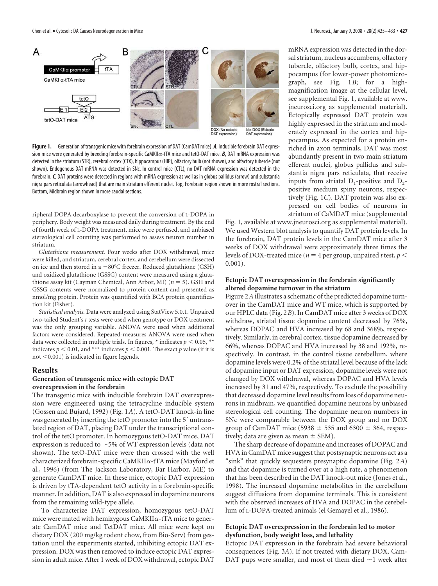

**Figure 1.** Generation of transgenic mice with forebrain expression of DAT (CamDAT mice). *A*, Inducible forebrain DAT expression mice were generated by breeding forebrain-specific CaMKIIcx-tTA mice and tetO-DAT mice. *B*, DAT mRNA expression was detected in the striatum (STR), cerebral cortex (CTX), hippocampus (HIP), olfactory bulb (not shown), and olfactory tubercle (not shown). Endogenous DAT mRNA was detected in SNc. In control mice (CTL), no DAT mRNA expression was detected in the forebrain.*C*, DAT proteins were detected in regions with mRNA expression as well as in globus pallidus (arrow) and substantia nigra pars reticulata (arrowhead) that are main striatum efferent nuclei. Top, Forebrain region shown in more rostral sections. Bottom, Midbrain region shown in more caudal sections.

ripheral DOPA decarboxylase to prevent the conversion of L-DOPA in periphery. Body weight was measured daily during treatment. By the end of fourth week of L-DOPA treatment, mice were perfused, and unbiased stereological cell counting was performed to assess neuron number in striatum.

*Glutathione measurement.* Four weeks after DOX withdrawal, mice were killed, and striatum, cerebral cortex, and cerebellum were dissected on ice and then stored in a  $-80^{\circ}$ C freezer. Reduced glutathione (GSH) and oxidized glutathione (GSSG) content were measured using a glutathione assay kit (Cayman Chemical, Ann Arbor, MI) (*n* 5). GSH and GSSG contents were normalized to protein content and presented as nmol/mg protein. Protein was quantified with BCA protein quantification kit (Fisher).

*Statistical analysis.* Data were analyzed using StatView 5.0.1. Unpaired two-tailed Student's *t* tests were used when genotype or DOX treatment was the only grouping variable. ANOVA were used when additional factors were considered. Repeated-measures ANOVA were used when data were collected in multiple trials. In figures,  $*$  indicates  $p < 0.05$ ,  $**$ indicates  $p < 0.01$ , and \*\*\* indicates  $p < 0.001$ . The exact p value (if it is not  $<$  0.001) is indicated in figure legends.

#### **Results**

# **Generation of transgenic mice with ectopic DAT overexpression in the forebrain**

The transgenic mice with inducible forebrain DAT overexpression were engineered using the tetracycline inducible system (Gossen and Bujard, 1992) (Fig. 1*A*). A tetO-DAT knock-in line was generated by inserting the tetO promoter into the 5' untranslated region of DAT, placing DAT under the transcriptional control of the tetO promoter. In homozygous tetO-DAT mice, DAT expression is reduced to  $\sim$  5% of WT expression levels (data not shown). The tetO-DAT mice were then crossed with the well characterized forebrain-specific CaMKII $\alpha$ -tTA mice (Mayford et al., 1996) (from The Jackson Laboratory, Bar Harbor, ME) to generate CamDAT mice. In these mice, ectopic DAT expression is driven by tTA-dependent tetO activity in a forebrain-specific manner. In addition, DAT is also expressed in dopamine neurons from the remaining wild-type allele.

To characterize DAT expression, homozygous tetO-DAT mice were mated with hemizygous CaMKII $\alpha$ -tTA mice to generate CamDAT mice and TetDAT mice. All mice were kept on dietary DOX (200 mg/kg rodent chow, from Bio-Serv) from gestation until the experiments started, inhibiting ectopic DAT expression. DOX was then removed to induce ectopic DAT expression in adult mice. After 1 week of DOX withdrawal, ectopic DAT

mRNA expression was detected in the dorsal striatum, nucleus accumbens, olfactory tubercle, olfactory bulb, cortex, and hippocampus (for lower-power photomicrograph, see Fig. 1*B*; for a highmagnification image at the cellular level, see supplemental Fig. 1, available at www. jneurosci.org as supplemental material). Ectopically expressed DAT protein was highly expressed in the striatum and moderately expressed in the cortex and hippocampus. As expected for a protein enriched in axon terminals, DAT was most abundantly present in two main striatum efferent nuclei, globus pallidus and substantia nigra pars reticulata, that receive inputs from striatal  $D_1$ -positive and  $D_2$ positive medium spiny neurons, respectively (Fig. 1*C*). DAT protein was also expressed on cell bodies of neurons in striatum of CaMDAT mice (supplemental

Fig. 1, available at www.jneurosci.org as supplemental material). We used Western blot analysis to quantify DAT protein levels. In the forebrain, DAT protein levels in the CamDAT mice after 3 weeks of DOX withdrawal were approximately three times the levels of DOX-treated mice ( $n = 4$  per group, unpaired *t* test,  $p <$ 0.001).

## **Ectopic DAT overexpression in the forebrain significantly altered dopamine turnover in the striatum**

Figure 2*A* illustrates a schematic of the predicted dopamine turnover in the CamDAT mice and WT mice, which is supported by our HPLC data (Fig. 2*B*). In CamDAT mice after 3 weeks of DOX withdraw, striatal tissue dopamine content decreased by 76%, whereas DOPAC and HVA increased by 68 and 368%, respectively. Similarly, in cerebral cortex, tissue dopamine decreased by 66%, whereas DOPAC and HVA increased by 38 and 192%, respectively. In contrast, in the control tissue cerebellum, where dopamine levels were 0.2% of the striatal level because of the lack of dopamine input or DAT expression, dopamine levels were not changed by DOX withdrawal, whereas DOPAC and HVA levels increased by 31 and 47%, respectively. To exclude the possibility that decreased dopamine level results from loss of dopamine neurons in midbrain, we quantified dopamine neurons by unbiased stereological cell counting. The dopamine neuron numbers in SNc were comparable between the DOX group and no DOX group of CamDAT mice (5938  $\pm$  535 and 6300  $\pm$  364, respectively; data are given as mean  $\pm$  SEM).

The sharp decrease of dopamine and increases of DOPAC and HVA in CamDAT mice suggest that postsynaptic neurons act as a "sink" that quickly sequesters presynaptic dopamine (Fig. 2*A*) and that dopamine is turned over at a high rate, a phenomenon that has been described in the DAT knock-out mice (Jones et al., 1998). The increased dopamine metabolites in the cerebellum suggest diffusions from dopamine terminals. This is consistent with the observed increases of HVA and DOPAC in the cerebellum of L-DOPA-treated animals (el Gemayel et al., 1986).

## **Ectopic DAT overexpression in the forebrain led to motor dysfunction, body weight loss, and lethality**

Ectopic DAT expression in the forebrain had severe behavioral consequences (Fig. 3*A*). If not treated with dietary DOX, Cam-DAT pups were smaller, and most of them died  $\sim$ 1 week after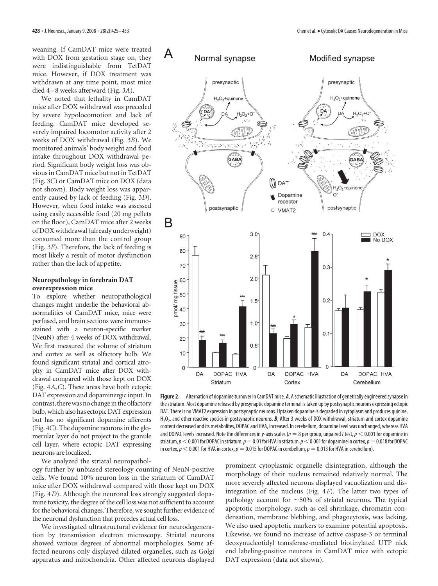weaning. If CamDAT mice were treated with DOX from gestation stage on, they were indistinguishable from TetDAT mice. However, if DOX treatment was withdrawn at any time point, most mice died 4 –8 weeks afterward (Fig. 3*A*).

We noted that lethality in CamDAT mice after DOX withdrawal was preceded by severe hypolocomotion and lack of feeding. CamDAT mice developed severely impaired locomotor activity after 2 weeks of DOX withdrawal (Fig. 3*B*). We monitored animals' body weight and food intake throughout DOX withdrawal period. Significant body weight loss was obvious in CamDAT mice but not in TetDAT (Fig. 3*C*) or CamDAT mice on DOX (data not shown). Body weight loss was apparently caused by lack of feeding (Fig. 3*D*). However, when food intake was assessed using easily accessible food (20 mg pellets on the floor), CamDAT mice after 2 weeks of DOX withdrawal (already underweight) consumed more than the control group (Fig. 3*E*). Therefore, the lack of feeding is most likely a result of motor dysfunction rather than the lack of appetite.

#### **Neuropathology in forebrain DAT overexpression mice**

To explore whether neuropathological changes might underlie the behavioral abnormalities of CamDAT mice, mice were perfused, and brain sections were immunostained with a neuron-specific marker (NeuN) after 4 weeks of DOX withdrawal. We first measured the volume of striatum and cortex as well as olfactory bulb. We found significant striatal and cortical atrophy in CamDAT mice after DOX withdrawal compared with those kept on DOX (Fig. 4*A*,*C*). These areas have both ectopic DAT expression and dopaminergic input. In contrast, there was no change in the olfactory bulb, which also has ectopic DAT expression but has no significant dopamine afferents (Fig. 4*C*). The dopamine neurons in the glomerular layer do not project to the granule cell layer, where ectopic DAT expressing neurons are localized.

We analyzed the striatal neuropathol-

ogy further by unbiased stereology counting of NeuN-positive cells. We found 10% neuron loss in the striatum of CamDAT mice after DOX withdrawal compared with those kept on DOX (Fig. 4*D*). Although the neuronal loss strongly suggested dopamine toxicity, the degree of the cell loss was not sufficient to account for the behavioral changes. Therefore, we sought further evidence of the neuronal dysfunction that precedes actual cell loss.

We investigated ultrastructural evidence for neurodegeneration by transmission electron microscopy. Striatal neurons showed various degrees of abnormal morphologies. Some affected neurons only displayed dilated organelles, such as Golgi apparatus and mitochondria. Other affected neurons displayed



**Figure 2.** Alternation of dopamine turnover in CamDAT mice. *A*, A schematic illustration of genetically engineered synapse in the striatum. Most dopamine released by presynaptic dopamine terminal is taken up by postsynaptic neurons expressing ectopic DAT. There is no VMAT2 expression in postsynaptic neurons. Uptaken dopamine is degraded in cytoplasm and produces quinine, H<sub>2</sub>O<sub>2</sub>, and other reactive species in postsynaptic neurons. **B**, After 3 weeks of DOX withdrawal, striatum and cortex dopamine content decreased and its metabolites, DOPAC and HVA, increased. In cerebellum, dopamine level was unchanged, whereas HVA and DOPAC levels increased. Note the differences in *y*-axis scales ( $n = 8$  per group, unpaired *t* test,  $p < 0.001$  for dopamine in striatum,  $p<$  0.001 for DOPAC in striatum,  $p=0.01$  for HVA in striatum,  $p<$  0.001 for dopamine in cortex,  $p=0.018$  for DOPAC in cortex,  $p < 0.001$  for HVA in cortex,  $p = 0.015$  for DOPAC in cerebellum,  $p = 0.013$  for HVA in cerebellum).

prominent cytoplasmic organelle disintegration, although the morphology of their nucleus remained relatively normal. The more severely affected neurons displayed vacuolization and disintegration of the nucleus (Fig. 4*F*). The latter two types of pathology account for  $\sim$  50% of striatal neurons. The typical apoptotic morphology, such as cell shrinkage, chromatin condensation, membrane blebbing, and phagocytosis, was lacking. We also used apoptotic markers to examine potential apoptosis. Likewise, we found no increase of active caspase-3 or terminal deoxynucleotidyl transferase-mediated biotinylated UTP nick end labeling-positive neurons in CamDAT mice with ectopic DAT expression (data not shown).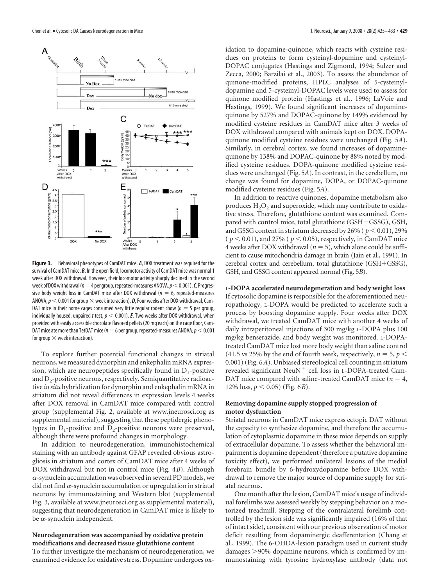

**Figure 3.** Behavioral phenotypes of CamDAT mice. *A*, DOX treatment was required for the survival of CamDAT mice. *B*, In the open field, locomotor activity of CamDAT mice was normal 1 week after DOX withdrawal. However, their locomotor activity sharply declined in the second week of DOX withdrawal ( $n=4$  per group, repeated-measures ANOVA,  $p<$  0.001). *C*, Progressive body weight loss in CamDAT mice after DOX withdrawal ( $n = 6$ , repeated-measures ANOVA,  $\rho$   $<$  0.001 for group  $\times$  week interaction).  $\boldsymbol{D}$ , Four weeks after DOX withdrawal, Cam-DAT mice in their home cages consumed very little regular rodent chow ( $n = 5$  per group, individually housed, unpaired *t* test,  $p < 0.001$ ). **E**, Two weeks after DOX withdrawal, when provided with easily accessible chocolate flavored pellets (20 mg each) on the cage floor, Cam-DAT mice ate more than TetDAT mice ( $n=6$  per group, repeated-measures ANOVA,  $p<$  0.001 for group  $\times$  week interaction).

To explore further potential functional changes in striatal neurons, we measured dynorphin and enkephalin mRNA expression, which are neuropeptides specifically found in  $D_1$ -positive and  $D<sub>2</sub>$ -positive neurons, respectively. Semiquantitative radioactive *in situ* hybridization for dynorphin and enkephalin mRNA in striatum did not reveal differences in expression levels 4 weeks after DOX removal in CamDAT mice compared with control group (supplemental Fig. 2, available at www.jneurosci.org as supplemental material), suggesting that these peptidergic phenotypes in  $D_1$ -positive and  $D_2$ -positive neurons were preserved, although there were profound changes in morphology.

In addition to neurodegeneration, immunohistochemical staining with an antibody against GFAP revealed obvious astrogliosis in striatum and cortex of CamDAT mice after 4 weeks of DOX withdrawal but not in control mice (Fig. 4*B*). Although  $\alpha$ -synuclein accumulation was observed in several PD models, we did not find  $\alpha$ -synuclein accumulation or upregulation in striatal neurons by immunostaining and Western blot (supplemental Fig. 3, available at www.jneurosci.org as supplemental material), suggesting that neurodegeneration in CamDAT mice is likely to be  $\alpha$ -synuclein independent.

# **Neurodegeneration was accompanied by oxidative protein modifications and decreased tissue glutathione content**

To further investigate the mechanism of neurodegeneration, we examined evidence for oxidative stress. Dopamine undergoes oxidation to dopamine-quinone, which reacts with cysteine residues on proteins to form cysteinyl-dopamine and cysteinyl-DOPAC conjugates (Hastings and Zigmond, 1994; Sulzer and Zecca, 2000; Barzilai et al., 2003). To assess the abundance of quinone-modified proteins, HPLC analyses of 5-cysteinyldopamine and 5-cysteinyl-DOPAC levels were used to assess for quinone modified protein (Hastings et al., 1996; LaVoie and Hastings, 1999). We found significant increases of dopaminequinone by 527% and DOPAC-quinone by 149% evidenced by modified cysteine residues in CamDAT mice after 3 weeks of DOX withdrawal compared with animals kept on DOX. DOPAquinone modified cysteine residues were unchanged (Fig. 5*A*). Similarly, in cerebral cortex, we found increases of dopaminequinone by 138% and DOPAC-quinone by 88% noted by modified cysteine residues. DOPA-quinone modified cysteine residues were unchanged (Fig. 5*A*). In contrast, in the cerebellum, no change was found for dopamine, DOPA, or DOPAC-quinone modified cysteine residues (Fig. 5*A*).

In addition to reactive quinones, dopamine metabolism also produces  $H_2O_2$  and superoxide, which may contribute to oxidative stress. Therefore, glutathione content was examined. Compared with control mice, total glutathione  $(GSH+GSSG)$ ,  $GSH$ , and GSSG content in striatum decreased by 26% ( $p < 0.01$ ), 29% ( $p < 0.01$ ), and 27% ( $p < 0.05$ ), respectively, in CamDAT mice 4 weeks after DOX withdrawal ( $n = 5$ ), which alone could be sufficient to cause mitochondria damage in brain (Jain et al., 1991). In cerebral cortex and cerebellum, total glutathione (GSH+GSSG), GSH, and GSSG content appeared normal (Fig. 5*B*).

**L-DOPA accelerated neurodegeneration and body weight loss** If cytosolic dopamine is responsible for the aforementioned neuropathology, L-DOPA would be predicted to accelerate such a process by boosting dopamine supply. Four weeks after DOX withdrawal, we treated CamDAT mice with another 4 weeks of daily intraperitoneal injections of 300 mg/kg L-DOPA plus 100 mg/kg benserazide, and body weight was monitored. L-DOPAtreated CamDAT mice lost more body weight than saline control (41.5 vs 25% by the end of fourth week, respectively,  $n = 5$ ,  $p <$ 0.001) (Fig. 6*A*). Unbiased stereological cell counting in striatum revealed significant NeuN<sup>+</sup> cell loss in L-DOPA-treated Cam-DAT mice compared with saline-treated CamDAT mice ( $n = 4$ , 12% loss,  $p < 0.05$ ) (Fig. 6*B*).

### **Removing dopamine supply stopped progression of motor dysfunction**

Striatal neurons in CamDAT mice express ectopic DAT without the capacity to synthesize dopamine, and therefore the accumulation of cytoplasmic dopamine in these mice depends on supply of extracellular dopamine. To assess whether the behavioral impairment is dopamine dependent (therefore a putative dopamine toxicity effect), we performed unilateral lesions of the medial forebrain bundle by 6-hydroxydopamine before DOX withdrawal to remove the major source of dopamine supply for striatal neurons.

One month after the lesion, CamDAT mice's usage of individual forelimbs was assessed weekly by stepping behavior on a motorized treadmill. Stepping of the contralateral forelimb controlled by the lesion side was significantly impaired (16% of that of intact side), consistent with our previous observation of motor deficit resulting from dopaminergic deafferentation (Chang et al., 1999). The 6-OHDA-lesion paradigm used in current study damages >90% dopamine neurons, which is confirmed by immunostaining with tyrosine hydroxylase antibody (data not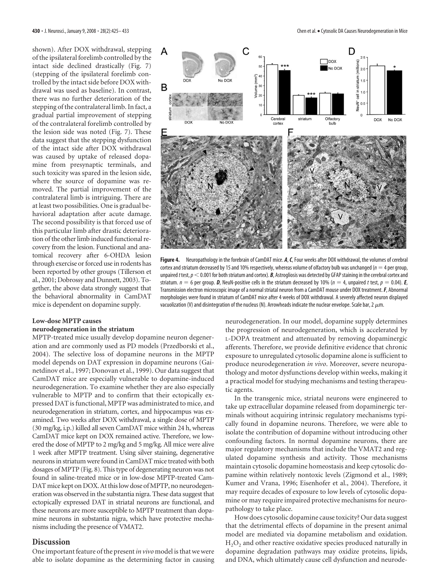shown). After DOX withdrawal, stepping of the ipsilateral forelimb controlled by the intact side declined drastically (Fig. 7) (stepping of the ipsilateral forelimb controlled by the intact side before DOX withdrawal was used as baseline). In contrast, there was no further deterioration of the stepping of the contralateral limb. In fact, a gradual partial improvement of stepping of the contralateral forelimb controlled by the lesion side was noted (Fig. 7). These data suggest that the stepping dysfunction of the intact side after DOX withdrawal was caused by uptake of released dopamine from presynaptic terminals, and such toxicity was spared in the lesion side, where the source of dopamine was removed. The partial improvement of the contralateral limb is intriguing. There are at least two possibilities. One is gradual behavioral adaptation after acute damage. The second possibility is that forced use of this particular limb after drastic deterioration of the other limb induced functional recovery from the lesion. Functional and anatomical recovery after 6-OHDA lesion through exercise or forced use in rodents has been reported by other groups (Tillerson et al., 2001; Dobrossy and Dunnett, 2003). Together, the above data strongly suggest that the behavioral abnormality in CamDAT mice is dependent on dopamine supply.

# **Low-dose MPTP causes neurodegeneration in the striatum**

MPTP-treated mice usually develop dopamine neuron degeneration and are commonly used as PD models (Przedborski et al., 2004). The selective loss of dopamine neurons in the MPTP model depends on DAT expression in dopamine neurons (Gainetdinov et al., 1997; Donovan et al., 1999). Our data suggest that CamDAT mice are especially vulnerable to dopamine-induced neurodegeneration. To examine whether they are also especially vulnerable to MPTP and to confirm that their ectopically expressed DAT is functional, MPTP was administrated to mice, and neurodegeneration in striatum, cortex, and hippocampus was examined. Two weeks after DOX withdrawal, a single dose of MPTP (30 mg/kg, i.p.) killed all seven CamDAT mice within 24 h, whereas CamDAT mice kept on DOX remained active. Therefore, we lowered the dose of MPTP to 2 mg/kg and 5 mg/kg. All mice were alive 1 week after MPTP treatment. Using silver staining, degenerative neurons in striatum were found in CamDAT mice treated with both dosages of MPTP (Fig. 8). This type of degenerating neuron was not found in saline-treated mice or in low-dose MPTP-treated Cam-DAT mice kept on DOX. At this low dose of MPTP, no neurodegeneration was observed in the substantia nigra. These data suggest that ectopically expressed DAT in striatal neurons are functional, and these neurons are more susceptible to MPTP treatment than dopamine neurons in substantia nigra, which have protective mechanisms including the presence of VMAT2.

#### **Discussion**

One important feature of the present *in vivo* model is that we were able to isolate dopamine as the determining factor in causing



**Figure 4.** Neuropathology in the forebrain of CamDAT mice. *A*,*C*, Four weeks after DOX withdrawal, the volumes of cerebral cortex and striatum decreased by 15 and 10% respectively, whereas volume of olfactory bulb was unchanged ( $n = 4$  per group, unpaired *t* test,  $p < 0.001$  for both striatum and cortex). *B*, Astrogliosis was detected by GFAP staining in the cerebral cortex and striatum.  $n = 6$  per group. **D**, NeuN-positive cells in the striatum decreased by 10% ( $n = 4$ , unpaired t test,  $p = 0.04$ ). **E**, Transmission electron microscopic image of a normal striatal neuron from a CamDAT mouse under DOX treatment.*F*, Abnormal morphologies were found in striatum of CamDAT mice after 4 weeks of DOX withdrawal. A severely affected neuron displayed vacuolization (V) and disintegration of the nucleus (N). Arrowheads indicate the nuclear envelope. Scale bar, 2  $\mu$ m.

neurodegeneration. In our model, dopamine supply determines the progression of neurodegeneration, which is accelerated by L-DOPA treatment and attenuated by removing dopaminergic afferents. Therefore, we provide definitive evidence that chronic exposure to unregulated cytosolic dopamine alone is sufficient to produce neurodegeneration *in vivo*. Moreover, severe neuropathology and motor dysfunctions develop within weeks, making it a practical model for studying mechanisms and testing therapeutic agents.

In the transgenic mice, striatal neurons were engineered to take up extracellular dopamine released from dopaminergic terminals without acquiring intrinsic regulatory mechanisms typically found in dopamine neurons. Therefore, we were able to isolate the contribution of dopamine without introducing other confounding factors. In normal dopamine neurons, there are major regulatory mechanisms that include the VMAT2 and regulated dopamine synthesis and activity. Those mechanisms maintain cytosolic dopamine homeostasis and keep cytosolic dopamine within relatively nontoxic levels (Zigmond et al., 1989; Kumer and Vrana, 1996; Eisenhofer et al., 2004). Therefore, it may require decades of exposure to low levels of cytosolic dopamine or may require impaired protective mechanisms for neuropathology to take place.

How does cytosolic dopamine cause toxicity? Our data suggest that the detrimental effects of dopamine in the present animal model are mediated via dopamine metabolism and oxidation. H<sub>2</sub>O<sub>2</sub> and other reactive oxidative species produced naturally in dopamine degradation pathways may oxidize proteins, lipids, and DNA, which ultimately cause cell dysfunction and neurode-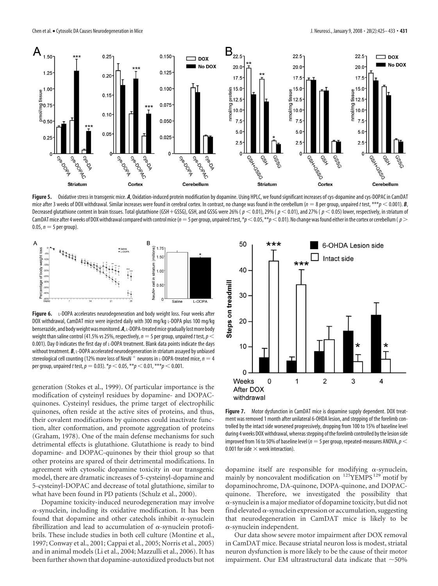

Figure 5. Oxidative stress in transgenic mice. A, Oxidation-induced protein modification by dopamine. Using HPLC, we found significant increases of cys-dopamine and cys-DOPAC in CamDAT mice after 3 weeks of DOX withdrawal. Similar increases were found in cerebral cortex. In contrast, no change was found in the cerebellum ( $n = 8$  per group, unpaired t test, \*\*\* $p < 0.001$ ). **B**, Decreased glutathione content in brain tissues. Total glutathione (GSH + GSSG), GSH, and GSSG were 26% ( $p < 0.01$ ), 29% ( $p < 0.01$ ), and 27% ( $p < 0.05$ ) lower, respectively, in striatum of CamDAT mice after 4 weeks of DOX withdrawal compared with control mice ( $n=5$  per group, unpaired *t* test,  $*p$  < 0.05,  $**p$  < 0.01). No change was found either in the cortex or cerebellum ( $p$  >  $0.05, n = 5$  per group).



**Figure 6.** L-DOPA accelerates neurodegeneration and body weight loss. Four weeks after DOX withdrawal, CamDAT mice were injected daily with 300 mg/kg L-DOPA plus 100 mg/kg benserazide, and body weight was monitored. A, L-DOPA-treated mice gradually lost more body weight than saline control (41.5% vs 25%, respectively,  $n = 5$  per group, unpaired t test,  $p <$ 0.001). Day 0 indicates the first day of L-DOPA treatment. Blank data points indicate the days without treatment. **B**, L-DOPA accelerated neurodegeneration in striatum assayed by unbiased stereological cell counting (12% more loss of NeuN  $^+$  neurons in L-DOPA-treated mice,  $n = 4$ per group, unpaired *t* test,  $p = 0.03$ ).  $*p < 0.05$ ,  $**p < 0.01$ ,  $***p < 0.001$ .

generation (Stokes et al., 1999). Of particular importance is the modification of cysteinyl residues by dopamine- and DOPACquinones. Cysteinyl residues, the prime target of electrophilic quinones, often reside at the active sites of proteins, and thus, their covalent modifications by quinones could inactivate function, alter conformation, and promote aggregation of proteins (Graham, 1978). One of the main defense mechanisms for such detrimental effects is glutathione. Glutathione is ready to bind dopamine- and DOPAC-quinones by their thiol group so that other proteins are spared of their detrimental modifications. In agreement with cytosolic dopamine toxicity in our transgenic model, there are dramatic increases of 5-cysteinyl-dopamine and 5-cysteinyl-DOPAC and decrease of total glutathione, similar to what have been found in PD patients (Schulz et al., 2000).

Dopamine toxicity-induced neurodegeneration may involve  $\alpha$ -synuclein, including its oxidative modification. It has been found that dopamine and other catechols inhibit  $\alpha$ -synuclein fibrillization and lead to accumulation of  $\alpha$ -synuclein protofibrils. These include studies in both cell culture (Montine et al., 1997; Conway et al., 2001; Cappai et al., 2005; Norris et al., 2005) and in animal models (Li et al., 2004; Mazzulli et al., 2006). It has been further shown that dopamine-autoxidized products but not



**Figure 7.** Motor dysfunction in CamDAT mice is dopamine supply dependent. DOX treatment was removed 1 month after unilateral 6-OHDA lesion, and stepping of the forelimb controlled by the intact side worsened progressively, dropping from 100 to 15% of baseline level during 4 weeks DOX withdrawal, whereas stepping of the forelimb controlled by the lesion side improved from 16 to 50% of baseline level ( $n = 5$  per group, repeated-measures ANOVA,  $p <$ 0.001 for side  $\times$  week interaction).

dopamine itself are responsible for modifying  $\alpha$ -synuclein, mainly by noncovalent modification on <sup>125</sup>YEMPS<sup>129</sup> motif by dopaminochrome, DA-quinone, DOPA-quinone, and DOPACquinone. Therefore, we investigated the possibility that  $\alpha$ -synuclein is a major mediator of dopamine toxicity, but did not find elevated  $\alpha$ -synuclein expression or accumulation, suggesting that neurodegeneration in CamDAT mice is likely to be  $\alpha$ -synuclein independent.

Our data show severe motor impairment after DOX removal in CamDAT mice. Because striatal neuron loss is modest, striatal neuron dysfunction is more likely to be the cause of their motor impairment. Our EM ultrastructural data indicate that  $\sim$  50%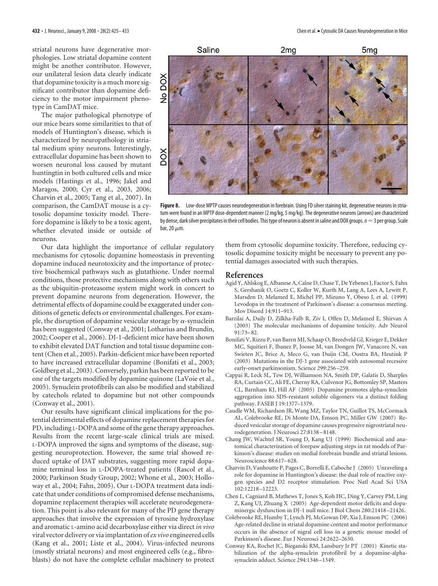striatal neurons have degenerative morphologies. Low striatal dopamine content might be another contributor. However, our unilateral lesion data clearly indicate that dopamine toxicity is a much more significant contributor than dopamine deficiency to the motor impairment phenotype in CamDAT mice.

The major pathological phenotype of our mice bears some similarities to that of models of Huntington's disease, which is characterized by neuropathology in striatal medium spiny neurons. Interestingly, extracellular dopamine has been shown to worsen neuronal loss caused by mutant huntingtin in both cultured cells and mice models (Hastings et al., 1996; Jakel and Maragos, 2000; Cyr et al., 2003, 2006; Charvin et al., 2005; Tang et al., 2007). In comparison, the CamDAT mouse is a cytosolic dopamine toxicity model. Therefore dopamine is likely to be a toxic agent, whether elevated inside or outside of neurons.



**Figure 8.** Low-dose MPTP causes neurodegeneration in forebrain. Using FD silver staining kit, degenerative neurons in striatum were found in an MPTP dose-dependent manner (2 mg/kg, 5 mg/kg). The degenerative neurons (arrows) are characterized by dense, dark silver precipitates in their cell bodies. This type of neuron is absent in saline and DOX groups.  $n = 3$  per group. Scale bar, 20  $\mu$ m.

Our data highlight the importance of cellular regulatory mechanisms for cytosolic dopamine homeostasis in preventing dopamine induced neurotoxicity and the importance of protective biochemical pathways such as glutathione. Under normal conditions, those protective mechanisms along with others such as the ubiquitin-proteasome system might work in concert to prevent dopamine neurons from degeneration. However, the detrimental effects of dopamine could be exaggerated under conditions of genetic defects or environmental challenges. For example, the disruption of dopamine vesicular storage by  $\alpha$ -synuclein has been suggested (Conway et al., 2001; Lotharius and Brundin, 2002; Cooper et al., 2006). DJ-1-deficient mice have been shown to exhibit elevated DAT function and total tissue dopamine content (Chen et al., 2005). Parkin-deficient mice have been reported to have increased extracellular dopamine (Bonifati et al., 2003; Goldberg et al., 2003). Conversely, parkin has been reported to be one of the targets modified by dopamine quinone (LaVoie et al., 2005). Synuclein protofibrils can also be modified and stabilized by catechols related to dopamine but not other compounds (Conway et al., 2001).

Our results have significant clinical implications for the potential detrimental effects of dopamine replacement therapies for PD, including L-DOPA and some of the gene therapy approaches. Results from the recent large-scale clinical trials are mixed. L-DOPA improved the signs and symptoms of the disease, suggesting neuroprotection. However, the same trial showed reduced uptake of DAT substrates, suggesting more rapid dopamine terminal loss in L-DOPA-treated patients (Rascol et al., 2000; Parkinson Study Group, 2002; Whone et al., 2003; Holloway et al., 2004; Fahn, 2005). Our L-DOPA treatment data indicate that under conditions of compromised defense mechanisms, dopamine replacement therapies will accelerate neurodegeneration. This point is also relevant for many of the PD gene therapy approaches that involve the expression of tyrosine hydroxylase and aromatic L-amino acid decarboxylase either via direct *in vivo* viral vector delivery or via implantation of*ex vivo* engineered cells (Kang et al., 2001; Liste et al., 2004). Virus-infected neurons (mostly striatal neurons) and most engineered cells (e.g., fibroblasts) do not have the complete cellular machinery to protect

them from cytosolic dopamine toxicity. Therefore, reducing cytosolic dopamine toxicity might be necessary to prevent any potential damages associated with such therapies.

## **References**

- Agid Y, Ahlskog E, Albanese A, Calne D, Chase T, De Yebenes J, Factor S, Fahn S, Gershanik O, Goetz C, Koller W, Kurth M, Lang A, Lees A, Lewitt P, Marsden D, Melamed E, Michel PP, Mizuno Y, Obeso J, et al. (1999) Levodopa in the treatment of Parkinson's disease: a consensus meeting. Mov Disord 14:911–913.
- Barzilai A, Daily D, Zilkha-Falb R, Ziv I, Offen D, Melamed E, Shirvan A (2003) The molecular mechanisms of dopamine toxicity. Adv Neurol 91:73–82.
- Bonifati V, Rizzu P, van Baren MJ, Schaap O, Breedveld GJ, Krieger E, Dekker MC, Squitieri F, Ibanez P, Joosse M, van Dongen JW, Vanacore N, van Swieten JC, Brice A, Meco G, van Duijn CM, Oostra BA, Heutink P (2003) Mutations in the DJ-1 gene associated with autosomal recessive early-onset parkinsonism. Science 299:256 –259.
- Cappai R, Leck SL, Tew DJ, Williamson NA, Smith DP, Galatis D, Sharples RA, Curtain CC, Ali FE, Cherny RA, Culvenor JG, Bottomley SP, Masters CL, Barnham KJ, Hill AF (2005) Dopamine promotes alpha-synuclein aggregation into SDS-resistant soluble oligomers via a distinct folding pathway. FASEB J 19:1377–1379.
- Caudle WM, Richardson JR, Wang MZ, Taylor TN, Guillot TS, McCormack AL, Colebrooke RE, Di Monte DA, Emson PC, Miller GW (2007) Reduced vesicular storage of dopamine causes progressive nigrostriatal neurodegeneration. J Neurosci 27:8138 –8148.
- Chang JW, Wachtel SR, Young D, Kang UJ (1999) Biochemical and anatomical characterization of forepaw adjusting steps in rat models of Parkinson's disease: studies on medial forebrain bundle and striatal lesions. Neuroscience 88:617–628.
- Charvin D, Vanhoutte P, Pages C, Borrelli E, Caboche J (2005) Unraveling a role for dopamine in Huntington's disease: the dual role of reactive oxygen species and D2 receptor stimulation. Proc Natl Acad Sci USA 102:12218 –12223.
- Chen L, Cagniard B, Mathews T, Jones S, Koh HC, Ding Y, Carvey PM, Ling Z, Kang UJ, Zhuang X (2005) Age-dependent motor deficits and dopaminergic dysfunction in DJ-1 null mice. J Biol Chem 280:21418 –21426.
- Colebrooke RE, Humby T, Lynch PJ, McGowan DP, Xia J, Emson PC (2006) Age-related decline in striatal dopamine content and motor performance occurs in the absence of nigral cell loss in a genetic mouse model of Parkinson's disease. Eur J Neurosci 24:2622–2630.
- Conway KA, Rochet JC, Bieganski RM, Lansbury Jr PT (2001) Kinetic stabilization of the alpha-synuclein protofibril by a dopamine-alphasynuclein adduct. Science 294:1346 –1349.